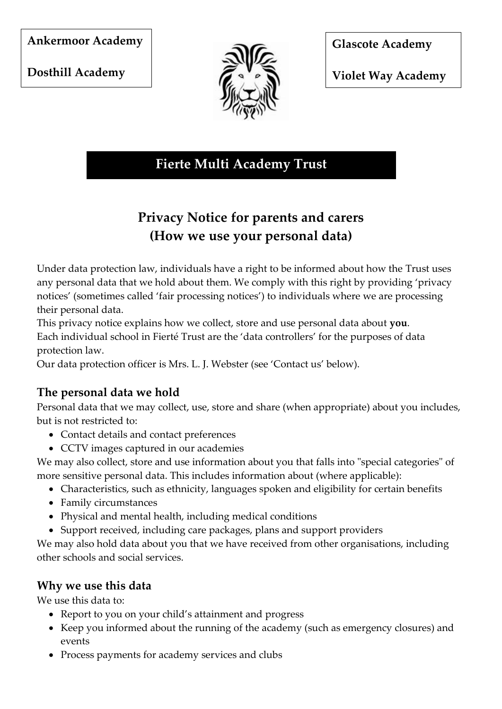#### **Ankermoor Academy**

**Dosthill Academy** 



**Glascote Academy** 

**Violet Way Academy** 

# **Fierte Multi Academy Trust**

# **Privacy Notice for parents and carers (How we use your personal data)**

Under data protection law, individuals have a right to be informed about how the Trust uses any personal data that we hold about them. We comply with this right by providing 'privacy notices' (sometimes called 'fair processing notices') to individuals where we are processing their personal data.

This privacy notice explains how we collect, store and use personal data about **you**. Each individual school in Fierté Trust are the 'data controllers' for the purposes of data protection law.

Our data protection officer is Mrs. L. J. Webster (see 'Contact us' below).

# **The personal data we hold**

Personal data that we may collect, use, store and share (when appropriate) about you includes, but is not restricted to:

- Contact details and contact preferences
- CCTV images captured in our academies

We may also collect, store and use information about you that falls into "special categories" of more sensitive personal data. This includes information about (where applicable):

- Characteristics, such as ethnicity, languages spoken and eligibility for certain benefits
- Family circumstances
- Physical and mental health, including medical conditions
- Support received, including care packages, plans and support providers

We may also hold data about you that we have received from other organisations, including other schools and social services.

#### **Why we use this data**

We use this data to:

- Report to you on your child's attainment and progress
- Keep you informed about the running of the academy (such as emergency closures) and events
- Process payments for academy services and clubs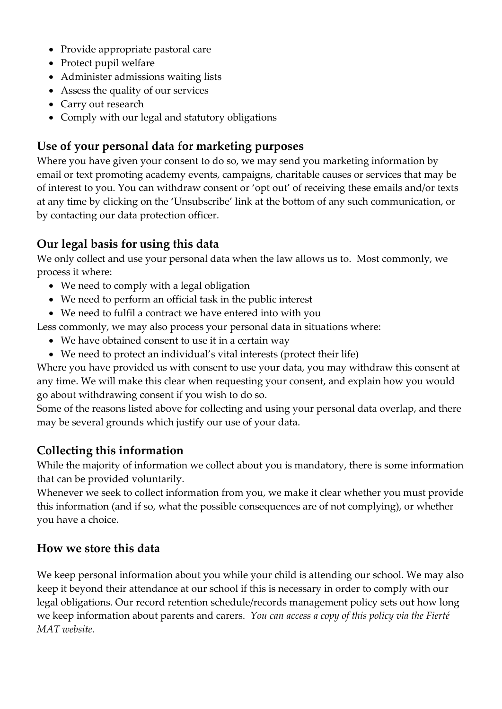- Provide appropriate pastoral care
- Protect pupil welfare
- Administer admissions waiting lists
- Assess the quality of our services
- Carry out research
- Comply with our legal and statutory obligations

#### **Use of your personal data for marketing purposes**

Where you have given your consent to do so, we may send you marketing information by email or text promoting academy events, campaigns, charitable causes or services that may be of interest to you. You can withdraw consent or 'opt out' of receiving these emails and/or texts at any time by clicking on the 'Unsubscribe' link at the bottom of any such communication, or by contacting our data protection officer.

## **Our legal basis for using this data**

We only collect and use your personal data when the law allows us to. Most commonly, we process it where:

- We need to comply with a legal obligation
- We need to perform an official task in the public interest
- We need to fulfil a contract we have entered into with you

Less commonly, we may also process your personal data in situations where:

- We have obtained consent to use it in a certain way
- We need to protect an individual's vital interests (protect their life)

Where you have provided us with consent to use your data, you may withdraw this consent at any time. We will make this clear when requesting your consent, and explain how you would go about withdrawing consent if you wish to do so.

Some of the reasons listed above for collecting and using your personal data overlap, and there may be several grounds which justify our use of your data.

# **Collecting this information**

While the majority of information we collect about you is mandatory, there is some information that can be provided voluntarily.

Whenever we seek to collect information from you, we make it clear whether you must provide this information (and if so, what the possible consequences are of not complying), or whether you have a choice.

#### **How we store this data**

We keep personal information about you while your child is attending our school. We may also keep it beyond their attendance at our school if this is necessary in order to comply with our legal obligations. Our record retention schedule/records management policy sets out how long we keep information about parents and carers. *You can access a copy of this policy via the Fierté MAT website.*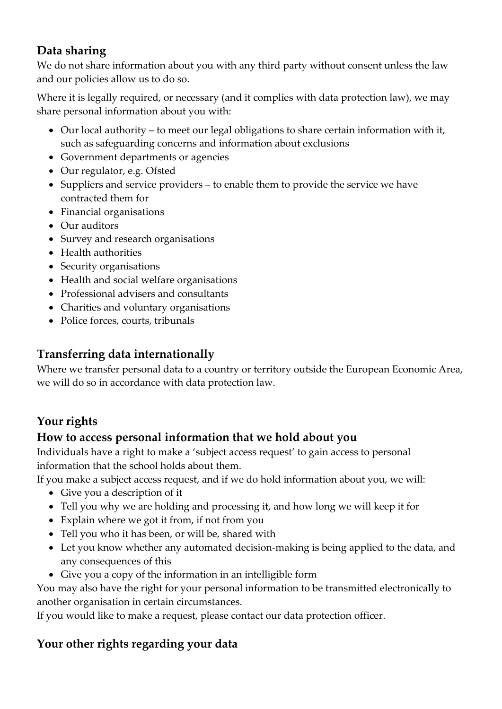## **Data sharing**

We do not share information about you with any third party without consent unless the law and our policies allow us to do so.

Where it is legally required, or necessary (and it complies with data protection law), we may share personal information about you with:

- Our local authority to meet our legal obligations to share certain information with it, such as safeguarding concerns and information about exclusions
- Government departments or agencies
- Our regulator, e.g. Ofsted
- Suppliers and service providers to enable them to provide the service we have contracted them for
- Financial organisations
- Our auditors
- Survey and research organisations
- Health authorities
- Security organisations
- Health and social welfare organisations
- Professional advisers and consultants
- Charities and voluntary organisations
- Police forces, courts, tribunals

### **Transferring data internationally**

Where we transfer personal data to a country or territory outside the European Economic Area, we will do so in accordance with data protection law.

# **Your rights**

#### **How to access personal information that we hold about you**

Individuals have a right to make a 'subject access request' to gain access to personal information that the school holds about them.

If you make a subject access request, and if we do hold information about you, we will:

- Give you a description of it
- Tell you why we are holding and processing it, and how long we will keep it for
- Explain where we got it from, if not from you
- Tell you who it has been, or will be, shared with
- Let you know whether any automated decision-making is being applied to the data, and any consequences of this
- Give you a copy of the information in an intelligible form

You may also have the right for your personal information to be transmitted electronically to another organisation in certain circumstances.

If you would like to make a request, please contact our data protection officer.

# **Your other rights regarding your data**